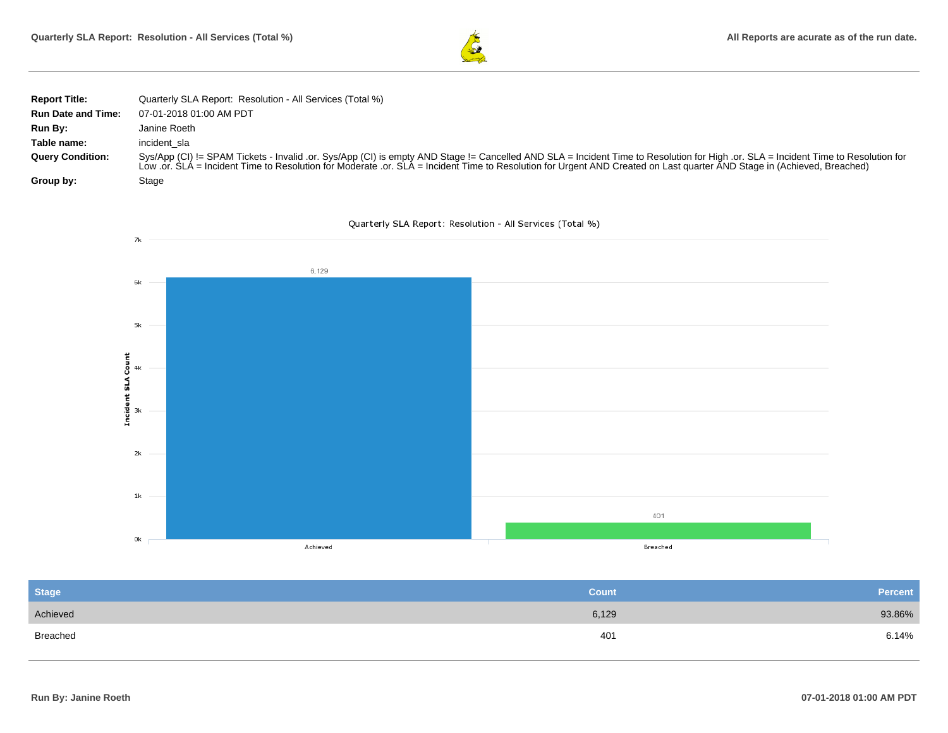

| <b>Report Title:</b>      | Quarterly SLA Report: Resolution - All Services (Total %)                                                                                                                                                                                                                                                                                                     |
|---------------------------|---------------------------------------------------------------------------------------------------------------------------------------------------------------------------------------------------------------------------------------------------------------------------------------------------------------------------------------------------------------|
| <b>Run Date and Time:</b> | 07-01-2018 01:00 AM PDT                                                                                                                                                                                                                                                                                                                                       |
| Run By:                   | Janine Roeth                                                                                                                                                                                                                                                                                                                                                  |
| Table name:               | incident sla                                                                                                                                                                                                                                                                                                                                                  |
| <b>Query Condition:</b>   | Sys/App (CI) != SPAM Tickets - Invalid .or. Sys/App (CI) is empty AND Stage != Cancelled AND SLA = Incident Time to Resolution for High .or. SLA = Incident Time to Resolution for<br>Low .or. SLA = Incident Time to Resolution for Moderate .or. SLA = Incident Time to Resolution for Urgent AND Created on Last quarter AND Stage in (Achieved, Breached) |
| Group by:                 | Stage                                                                                                                                                                                                                                                                                                                                                         |





| <b>Stage</b> | <b>Count</b> | <b>Percent</b> |
|--------------|--------------|----------------|
| Achieved     | 6,129        | 93.86%         |
| Breached     | 401          | 6.14%          |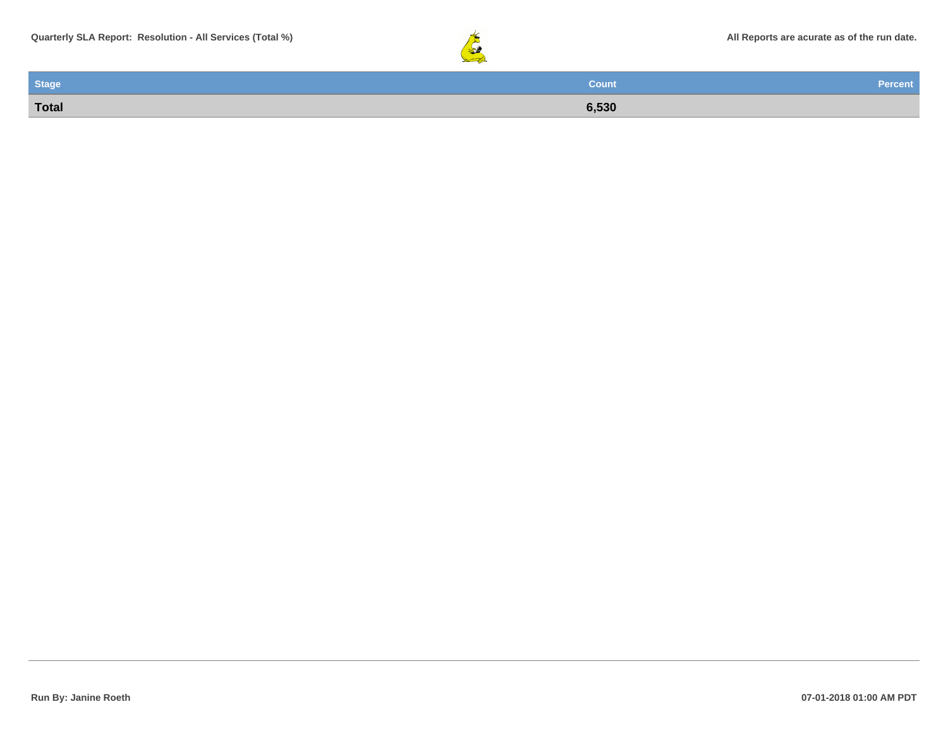

| Stage        | <b>Count</b> | <b>Percent</b> |
|--------------|--------------|----------------|
| <b>Total</b> | 6,530        |                |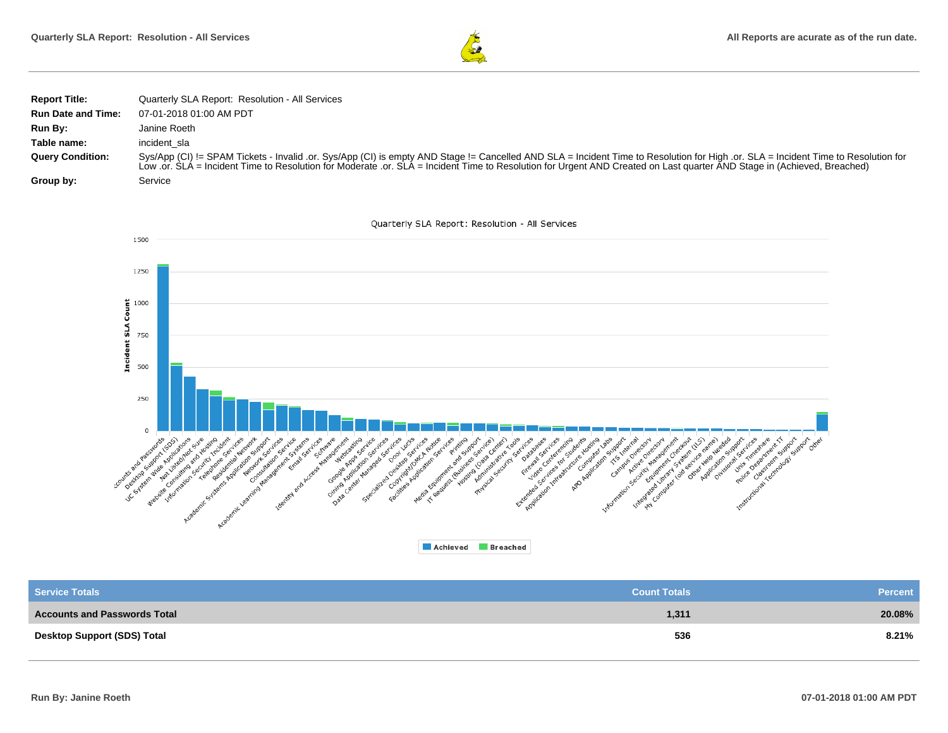

| <b>Report Title:</b>      | Quarterly SLA Report: Resolution - All Services                                                                                                                                                                                                                                                                                                               |
|---------------------------|---------------------------------------------------------------------------------------------------------------------------------------------------------------------------------------------------------------------------------------------------------------------------------------------------------------------------------------------------------------|
| <b>Run Date and Time:</b> | 07-01-2018 01:00 AM PDT                                                                                                                                                                                                                                                                                                                                       |
| Run By:                   | Janine Roeth                                                                                                                                                                                                                                                                                                                                                  |
| Table name:               | incident sla                                                                                                                                                                                                                                                                                                                                                  |
| <b>Query Condition:</b>   | Sys/App (CI) != SPAM Tickets - Invalid .or. Sys/App (CI) is empty AND Stage != Cancelled AND SLA = Incident Time to Resolution for High .or. SLA = Incident Time to Resolution for<br>Low .or. SLA = Incident Time to Resolution for Moderate .or. SLA = Incident Time to Resolution for Urgent AND Created on Last quarter AND Stage in (Achieved, Breached) |
| Group by:                 | Service                                                                                                                                                                                                                                                                                                                                                       |



| <b>Service Totals</b>               | <b>Count Totals</b> | <b>Percent</b> |
|-------------------------------------|---------------------|----------------|
| <b>Accounts and Passwords Total</b> | 1,311               | 20.08%         |
| <b>Desktop Support (SDS) Total</b>  | 536                 | 8.21%          |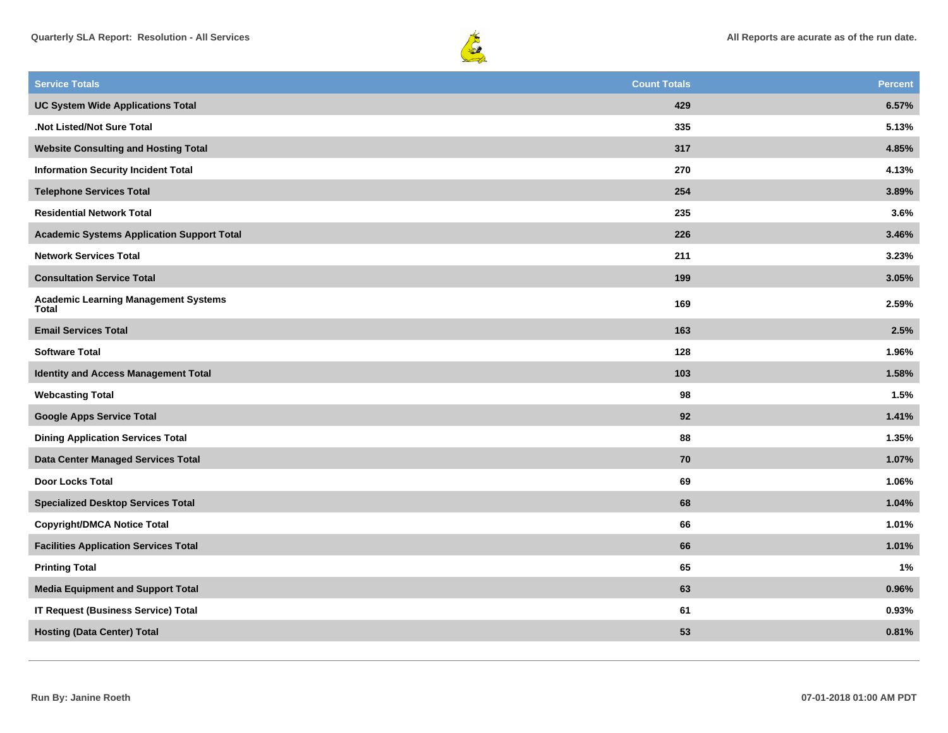



| <b>Service Totals</b>                                | <b>Count Totals</b> | <b>Percent</b> |
|------------------------------------------------------|---------------------|----------------|
| <b>UC System Wide Applications Total</b>             | 429                 | 6.57%          |
| .Not Listed/Not Sure Total                           | 335                 | 5.13%          |
| <b>Website Consulting and Hosting Total</b>          | 317                 | 4.85%          |
| <b>Information Security Incident Total</b>           | 270                 | 4.13%          |
| <b>Telephone Services Total</b>                      | 254                 | 3.89%          |
| <b>Residential Network Total</b>                     | 235                 | 3.6%           |
| <b>Academic Systems Application Support Total</b>    | 226                 | 3.46%          |
| <b>Network Services Total</b>                        | 211                 | 3.23%          |
| <b>Consultation Service Total</b>                    | 199                 | 3.05%          |
| <b>Academic Learning Management Systems</b><br>Total | 169                 | 2.59%          |
| <b>Email Services Total</b>                          | 163                 | 2.5%           |
| <b>Software Total</b>                                | 128                 | 1.96%          |
| <b>Identity and Access Management Total</b>          | 103                 | 1.58%          |
| <b>Webcasting Total</b>                              | 98                  | 1.5%           |
| <b>Google Apps Service Total</b>                     | 92                  | 1.41%          |
| <b>Dining Application Services Total</b>             | 88                  | 1.35%          |
| Data Center Managed Services Total                   | 70                  | 1.07%          |
| <b>Door Locks Total</b>                              | 69                  | 1.06%          |
| <b>Specialized Desktop Services Total</b>            | 68                  | 1.04%          |
| <b>Copyright/DMCA Notice Total</b>                   | 66                  | 1.01%          |
| <b>Facilities Application Services Total</b>         | 66                  | 1.01%          |
| <b>Printing Total</b>                                | 65                  | 1%             |
| <b>Media Equipment and Support Total</b>             | 63                  | 0.96%          |
| <b>IT Request (Business Service) Total</b>           | 61                  | 0.93%          |
| <b>Hosting (Data Center) Total</b>                   | 53                  | 0.81%          |
|                                                      |                     |                |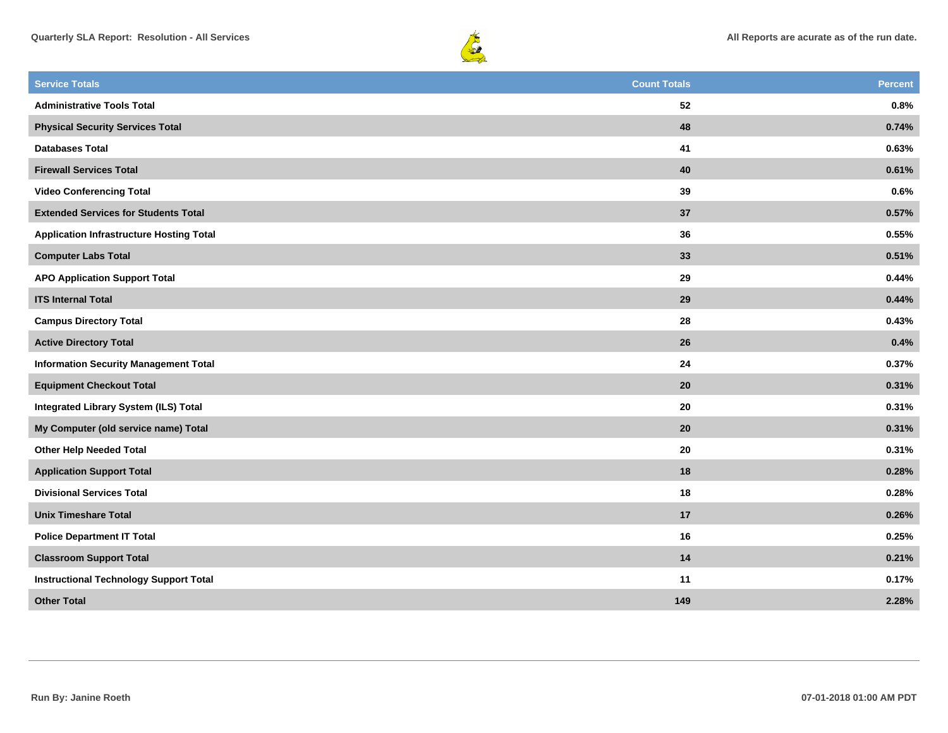



| <b>Service Totals</b>                           | <b>Count Totals</b> | <b>Percent</b> |
|-------------------------------------------------|---------------------|----------------|
| <b>Administrative Tools Total</b>               | 52                  | 0.8%           |
| <b>Physical Security Services Total</b>         | 48                  | 0.74%          |
| <b>Databases Total</b>                          | 41                  | 0.63%          |
| <b>Firewall Services Total</b>                  | 40                  | 0.61%          |
| <b>Video Conferencing Total</b>                 | 39                  | 0.6%           |
| <b>Extended Services for Students Total</b>     | 37                  | 0.57%          |
| <b>Application Infrastructure Hosting Total</b> | 36                  | 0.55%          |
| <b>Computer Labs Total</b>                      | 33                  | 0.51%          |
| <b>APO Application Support Total</b>            | 29                  | 0.44%          |
| <b>ITS Internal Total</b>                       | 29                  | 0.44%          |
| <b>Campus Directory Total</b>                   | 28                  | 0.43%          |
| <b>Active Directory Total</b>                   | 26                  | 0.4%           |
| <b>Information Security Management Total</b>    | 24                  | 0.37%          |
| <b>Equipment Checkout Total</b>                 | 20                  | 0.31%          |
| <b>Integrated Library System (ILS) Total</b>    | 20                  | 0.31%          |
| My Computer (old service name) Total            | 20                  | 0.31%          |
| <b>Other Help Needed Total</b>                  | 20                  | 0.31%          |
| <b>Application Support Total</b>                | 18                  | 0.28%          |
| <b>Divisional Services Total</b>                | 18                  | 0.28%          |
| <b>Unix Timeshare Total</b>                     | 17                  | 0.26%          |
| <b>Police Department IT Total</b>               | 16                  | 0.25%          |
| <b>Classroom Support Total</b>                  | 14                  | 0.21%          |
| <b>Instructional Technology Support Total</b>   | 11                  | 0.17%          |
| <b>Other Total</b>                              | 149                 | 2.28%          |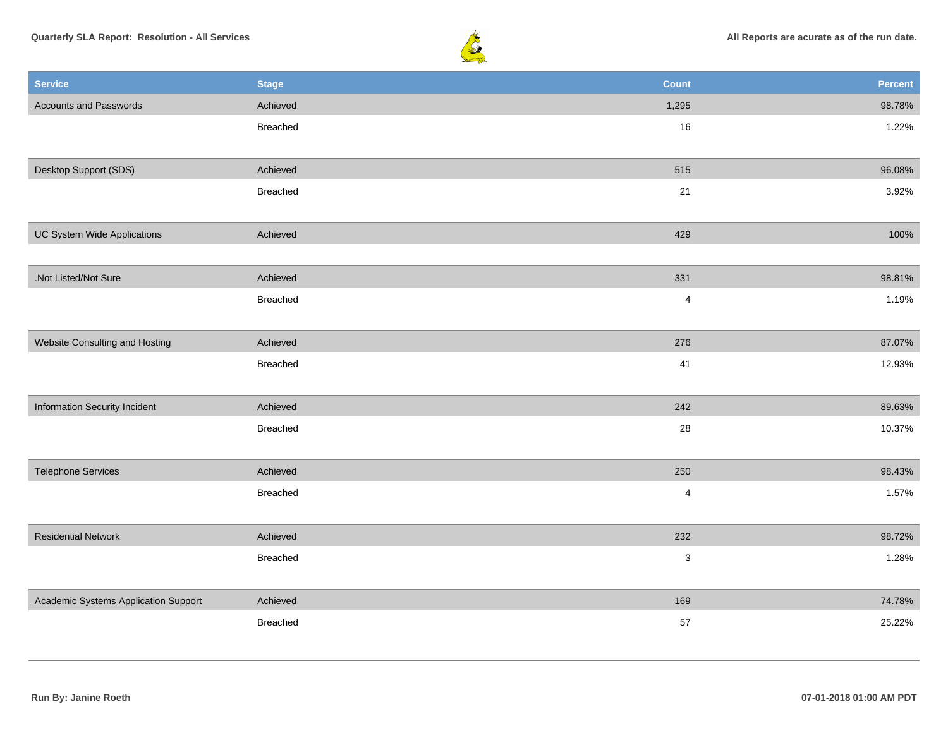



| <b>Service</b>                       | <b>Stage</b> | <b>Count</b>            | Percent |
|--------------------------------------|--------------|-------------------------|---------|
| <b>Accounts and Passwords</b>        | Achieved     | 1,295                   | 98.78%  |
|                                      | Breached     | 16                      | 1.22%   |
|                                      |              |                         |         |
| Desktop Support (SDS)                | Achieved     | 515                     | 96.08%  |
|                                      | Breached     | 21                      | 3.92%   |
|                                      |              |                         |         |
| UC System Wide Applications          | Achieved     | 429                     | 100%    |
|                                      |              |                         |         |
| .Not Listed/Not Sure                 | Achieved     | 331                     | 98.81%  |
|                                      | Breached     | $\overline{\mathbf{4}}$ | 1.19%   |
|                                      |              |                         |         |
| Website Consulting and Hosting       | Achieved     | 276                     | 87.07%  |
|                                      | Breached     | 41                      | 12.93%  |
|                                      |              |                         |         |
| Information Security Incident        | Achieved     | 242                     | 89.63%  |
|                                      | Breached     | 28                      | 10.37%  |
|                                      |              |                         |         |
| <b>Telephone Services</b>            | Achieved     | 250                     | 98.43%  |
|                                      | Breached     | $\overline{\mathbf{4}}$ | 1.57%   |
|                                      |              |                         |         |
| <b>Residential Network</b>           | Achieved     | 232                     | 98.72%  |
|                                      | Breached     | 3                       | 1.28%   |
|                                      |              |                         |         |
| Academic Systems Application Support | Achieved     | 169                     | 74.78%  |
|                                      | Breached     | 57                      | 25.22%  |
|                                      |              |                         |         |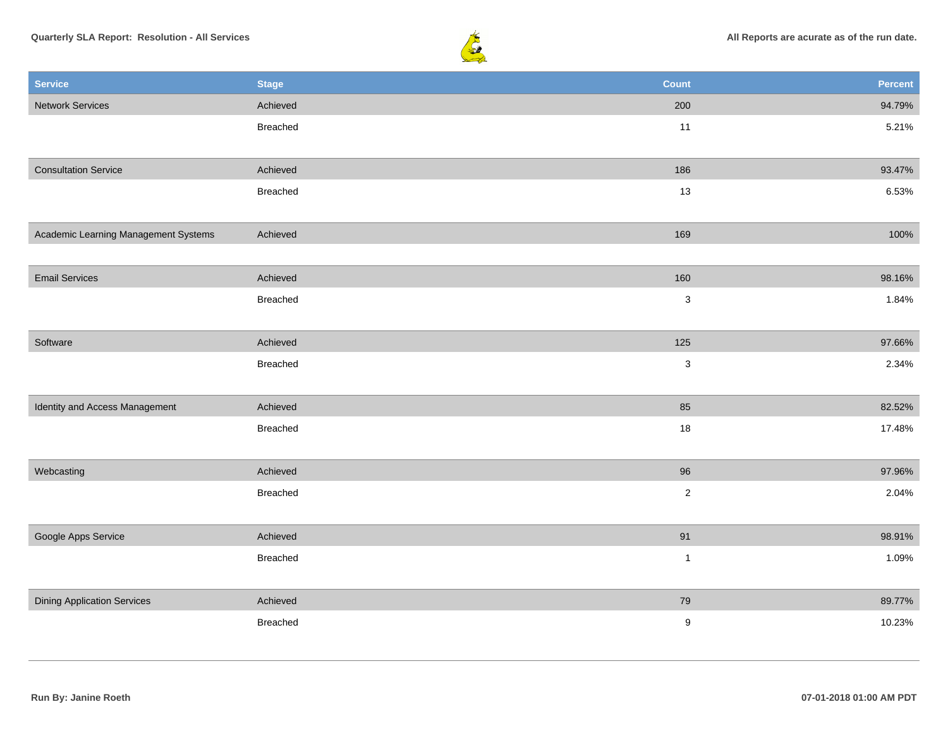

| <b>Service</b>                       | <b>Stage</b> | <b>Count</b>     | Percent |
|--------------------------------------|--------------|------------------|---------|
| <b>Network Services</b>              | Achieved     | 200              | 94.79%  |
|                                      | Breached     | 11               | 5.21%   |
|                                      |              |                  |         |
| <b>Consultation Service</b>          | Achieved     | 186              | 93.47%  |
|                                      | Breached     | 13               | 6.53%   |
|                                      |              |                  |         |
| Academic Learning Management Systems | Achieved     | 169              | 100%    |
|                                      |              |                  |         |
| <b>Email Services</b>                | Achieved     | 160              | 98.16%  |
|                                      | Breached     | $\sqrt{3}$       | 1.84%   |
|                                      |              |                  |         |
| Software                             | Achieved     | 125              | 97.66%  |
|                                      | Breached     | $\mathbf 3$      | 2.34%   |
|                                      |              |                  |         |
| Identity and Access Management       | Achieved     | 85               | 82.52%  |
|                                      | Breached     | $18\,$           | 17.48%  |
|                                      |              |                  |         |
| Webcasting                           | Achieved     | 96               | 97.96%  |
|                                      | Breached     | $\sqrt{2}$       | 2.04%   |
|                                      |              |                  |         |
| Google Apps Service                  | Achieved     | 91               | 98.91%  |
|                                      | Breached     | $\mathbf{1}$     | 1.09%   |
|                                      |              |                  |         |
| <b>Dining Application Services</b>   | Achieved     | 79               | 89.77%  |
|                                      | Breached     | $\boldsymbol{9}$ | 10.23%  |
|                                      |              |                  |         |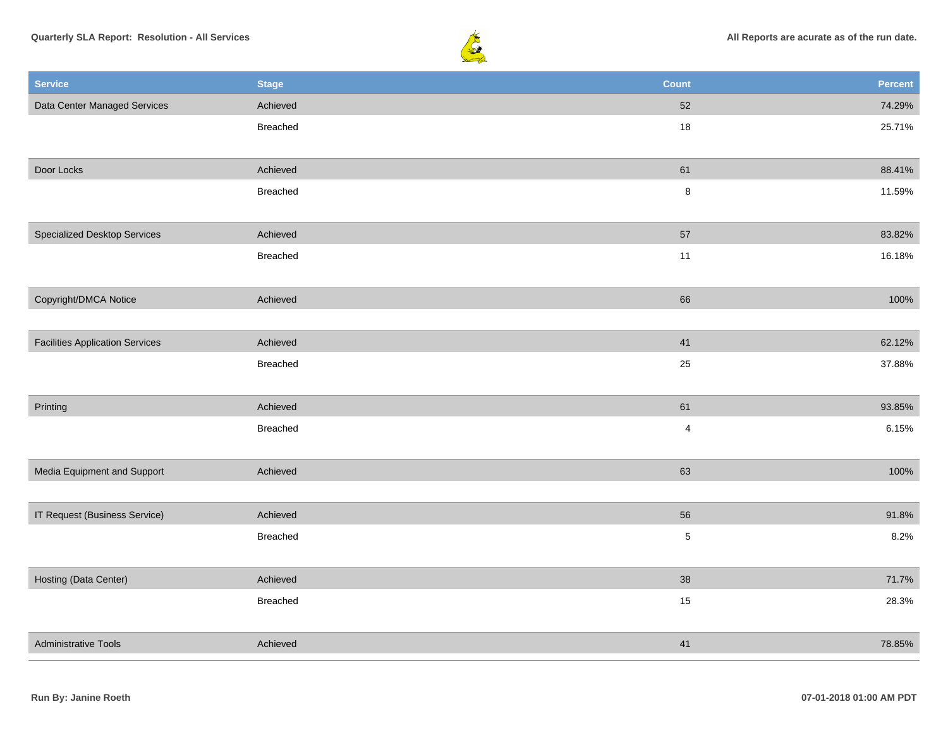



| <b>Service</b>                         | <b>Stage</b>    | <b>Count</b>            | Percent |
|----------------------------------------|-----------------|-------------------------|---------|
| Data Center Managed Services           | Achieved        | $52\,$                  | 74.29%  |
|                                        | Breached        | $18$                    | 25.71%  |
|                                        |                 |                         |         |
| Door Locks                             | Achieved        | 61                      | 88.41%  |
|                                        | Breached        | $\bf 8$                 | 11.59%  |
|                                        |                 |                         |         |
| <b>Specialized Desktop Services</b>    | Achieved        | 57                      | 83.82%  |
|                                        | Breached        | 11                      | 16.18%  |
|                                        |                 |                         |         |
| Copyright/DMCA Notice                  | Achieved        | 66                      | 100%    |
|                                        |                 |                         |         |
| <b>Facilities Application Services</b> | Achieved        | 41                      | 62.12%  |
|                                        | <b>Breached</b> | 25                      | 37.88%  |
|                                        |                 |                         |         |
| Printing                               | Achieved        | 61                      | 93.85%  |
|                                        | Breached        | $\overline{\mathbf{4}}$ | 6.15%   |
|                                        |                 |                         |         |
| Media Equipment and Support            | Achieved        | 63                      | 100%    |
|                                        |                 |                         |         |
| IT Request (Business Service)          | Achieved        | 56                      | 91.8%   |
|                                        | Breached        | $\mathbf 5$             | 8.2%    |
|                                        |                 |                         |         |
| Hosting (Data Center)                  | Achieved        | 38                      | 71.7%   |
|                                        | Breached        | 15                      | 28.3%   |
|                                        |                 |                         |         |
| <b>Administrative Tools</b>            | Achieved        | 41                      | 78.85%  |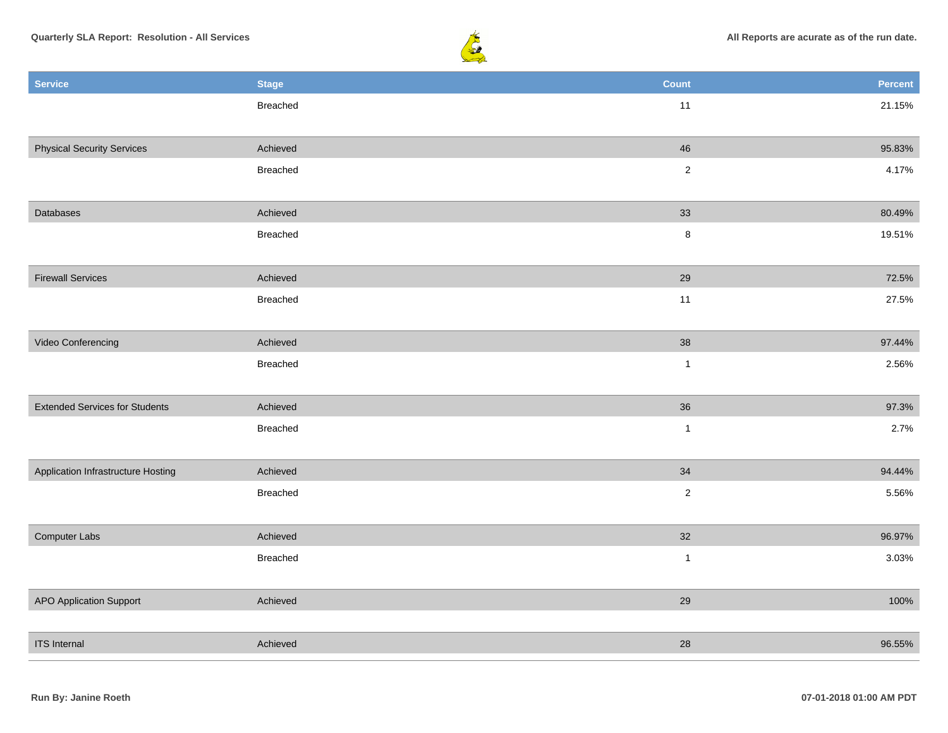

| <b>Service</b>                        | <b>Stage</b> | <b>Count</b>   | Percent |
|---------------------------------------|--------------|----------------|---------|
|                                       | Breached     | 11             | 21.15%  |
|                                       |              |                |         |
| <b>Physical Security Services</b>     | Achieved     | 46             | 95.83%  |
|                                       | Breached     | $\sqrt{2}$     | 4.17%   |
| Databases                             | Achieved     | 33             | 80.49%  |
|                                       | Breached     | $\bf 8$        | 19.51%  |
|                                       |              |                |         |
| <b>Firewall Services</b>              | Achieved     | 29             | 72.5%   |
|                                       | Breached     | 11             | 27.5%   |
|                                       |              |                |         |
| Video Conferencing                    | Achieved     | 38             | 97.44%  |
|                                       | Breached     | $\mathbf{1}$   | 2.56%   |
|                                       |              |                |         |
| <b>Extended Services for Students</b> | Achieved     | 36             | 97.3%   |
|                                       | Breached     | $\mathbf{1}$   | 2.7%    |
|                                       |              |                |         |
| Application Infrastructure Hosting    | Achieved     | $34\,$         | 94.44%  |
|                                       | Breached     | $\sqrt{2}$     | 5.56%   |
|                                       |              |                |         |
| Computer Labs                         | Achieved     | 32             | 96.97%  |
|                                       | Breached     | $\overline{1}$ | 3.03%   |
|                                       |              |                |         |
| <b>APO Application Support</b>        | Achieved     | 29             | 100%    |
|                                       |              |                |         |
| <b>ITS</b> Internal                   | Achieved     | $28\,$         | 96.55%  |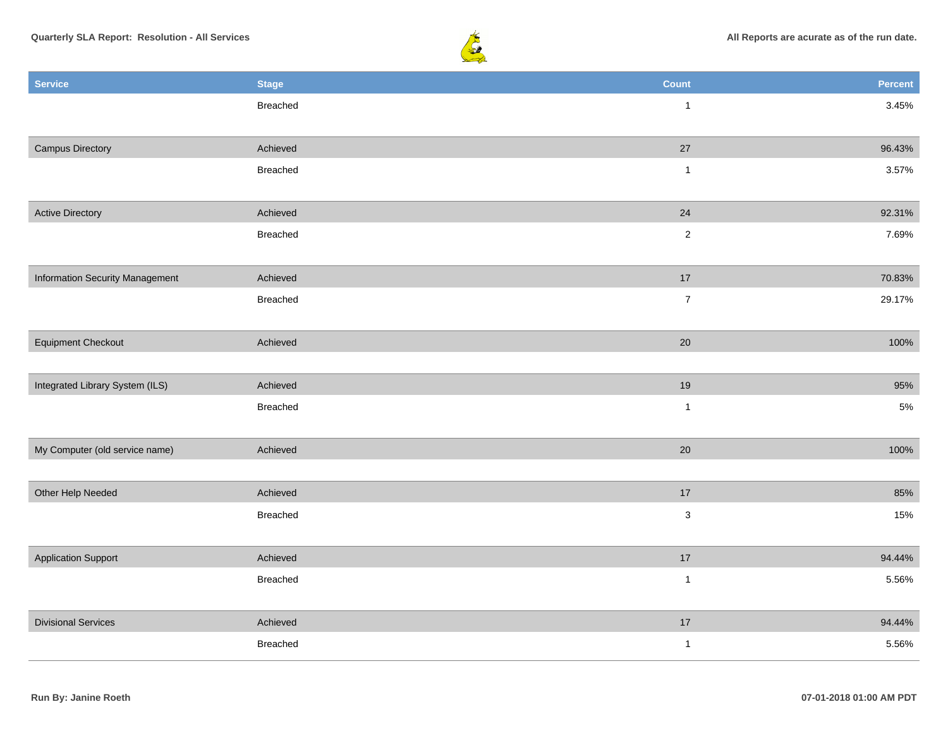

| <b>Service</b>                  | <b>Stage</b> | <b>Count</b>   | Percent |
|---------------------------------|--------------|----------------|---------|
|                                 | Breached     | $\mathbf{1}$   | 3.45%   |
|                                 |              |                |         |
| <b>Campus Directory</b>         | Achieved     | 27             | 96.43%  |
|                                 | Breached     | $\mathbf{1}$   | 3.57%   |
|                                 |              |                |         |
| <b>Active Directory</b>         | Achieved     | 24             | 92.31%  |
|                                 | Breached     | $\overline{2}$ | 7.69%   |
|                                 |              |                |         |
| Information Security Management | Achieved     | $17$           | 70.83%  |
|                                 | Breached     | $\overline{7}$ | 29.17%  |
|                                 |              |                |         |
| <b>Equipment Checkout</b>       | Achieved     | 20             | 100%    |
|                                 |              |                |         |
| Integrated Library System (ILS) | Achieved     | 19             | 95%     |
|                                 | Breached     | $\mathbf{1}$   | $5\%$   |
|                                 |              |                |         |
| My Computer (old service name)  | Achieved     | 20             | 100%    |
|                                 |              |                |         |
| Other Help Needed               | Achieved     | 17             | 85%     |
|                                 | Breached     | $\mathbf 3$    | 15%     |
|                                 |              |                |         |
| <b>Application Support</b>      | Achieved     | 17             | 94.44%  |
|                                 | Breached     | $\mathbf{1}$   | 5.56%   |
|                                 |              |                |         |
| <b>Divisional Services</b>      | Achieved     | $17$           | 94.44%  |
|                                 | Breached     | $\mathbf{1}$   | 5.56%   |